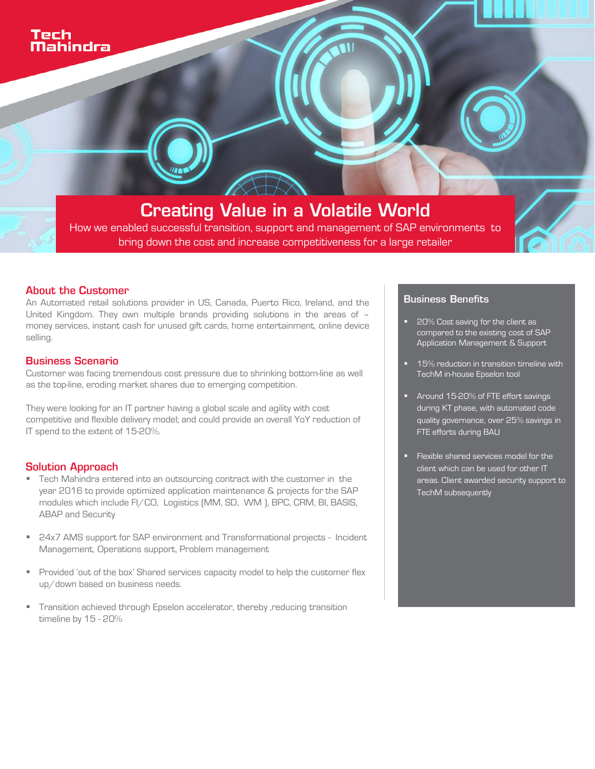**Creating Value in a Volatile World** How we enabled successful transition, support and management of SAP environments to bring down the cost and increase competitiveness for a large retailer

#### **About the Customer**

An Automated retail solutions provider in US, Canada, Puerto Rico, Ireland, and the United Kingdom. They own multiple brands providing solutions in the areas of – money services, instant cash for unused gift cards, home entertainment, online device selling.

#### **Business Scenario**

Customer was facing tremendous cost pressure due to shrinking bottom-line as well as the top-line, eroding market shares due to emerging competition.

They were looking for an IT partner having a global scale and agility with cost competitive and flexible delivery model; and could provide an overall YoY reduction of IT spend to the extent of 15-20%.

#### **Solution Approach**

- Tech Mahindra entered into an outsourcing contract with the customer in the year 2016 to provide optimized application maintenance & projects for the SAP modules which include FI/CO, Logistics (MM, SD, WM ), BPC, CRM, BI, BASIS, ABAP and Security
- 24x7 AMS support for SAP environment and Transformational projects Incident Management, Operations support, Problem management
- **Provided 'out of the box' Shared services capacity model to help the customer flex** up/down based on business needs.
- Transition achieved through Epselon accelerator, thereby ,reducing transition timeline by 15 - 20%

## **Business Benefits**

- 20% Cost saving for the client as compared to the existing cost of SAP Application Management & Support
- 15% reduction in transition timeline with TechM in-house Epselon tool
- **Around 15-20% of FTE effort savings** during KT phase, with automated code quality governance, over 25% savings in FTE efforts during BAU
- Flexible shared services model for the client which can be used for other IT areas. Client awarded security support to TechM subsequently